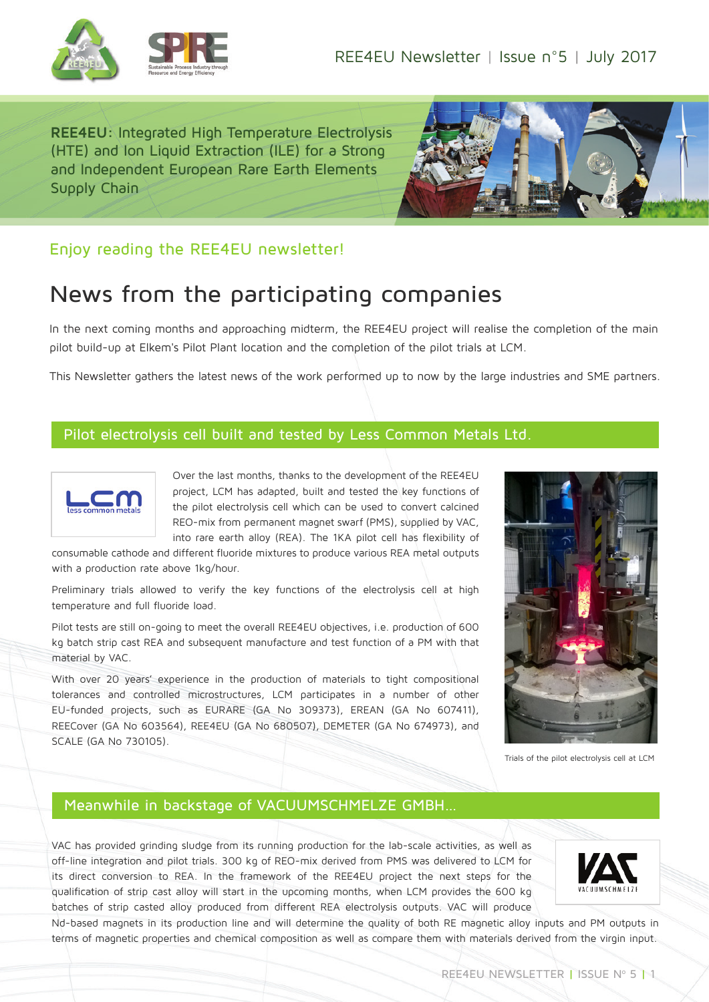

**REE4EU:** Integrated High Temperature Electrolysis (HTE) and Ion Liquid Extraction (ILE) for a Strong and Independent European Rare Earth Elements Supply Chain



# Enjoy reading the REE4EU newsletter!

# News from the participating companies

In the next coming months and approaching midterm, the REE4EU project will realise the completion of the main pilot build-up at Elkem's Pilot Plant location and the completion of the pilot trials at LCM.

This Newsletter gathers the latest news of the work performed up to now by the large industries and SME partners.

#### Pilot electrolysis cell built and tested by Less Common Metals Ltd.



Over the last months, thanks to the development of the REE4EU project, LCM has adapted, built and tested the key functions of the pilot electrolysis cell which can be used to convert calcined REO-mix from permanent magnet swarf (PMS), supplied by VAC, into rare earth alloy (REA). The 1KA pilot cell has flexibility of

consumable cathode and different fluoride mixtures to produce various REA metal outputs with a production rate above 1kg/hour.

Preliminary trials allowed to verify the key functions of the electrolysis cell at high temperature and full fluoride load.

Pilot tests are still on-going to meet the overall REE4EU objectives, i.e. production of 600 kg batch strip cast REA and subsequent manufacture and test function of a PM with that material by VAC.

With over 20 years' experience in the production of materials to tight compositional tolerances and controlled microstructures, LCM participates in a number of other EU-funded projects, such as EURARE (GA No 309373), EREAN (GA No 607411), REECover (GA No 603564), REE4EU (GA No 680507), DEMETER (GA No 674973), and SCALE (GA No 730105).



Trials of the pilot electrolysis cell at LCM

# Meanwhile in backstage of VACUUMSCHMELZE GMBH…

VAC has provided grinding sludge from its running production for the lab-scale activities, as well as off-line integration and pilot trials. 300 kg of REO-mix derived from PMS was delivered to LCM for its direct conversion to REA. In the framework of the REE4EU project the next steps for the qualification of strip cast alloy will start in the upcoming months, when LCM provides the 600 kg batches of strip casted alloy produced from different REA electrolysis outputs. VAC will produce



Nd-based magnets in its production line and will determine the quality of both RE magnetic alloy inputs and PM outputs in terms of magnetic properties and chemical composition as well as compare them with materials derived from the virgin input.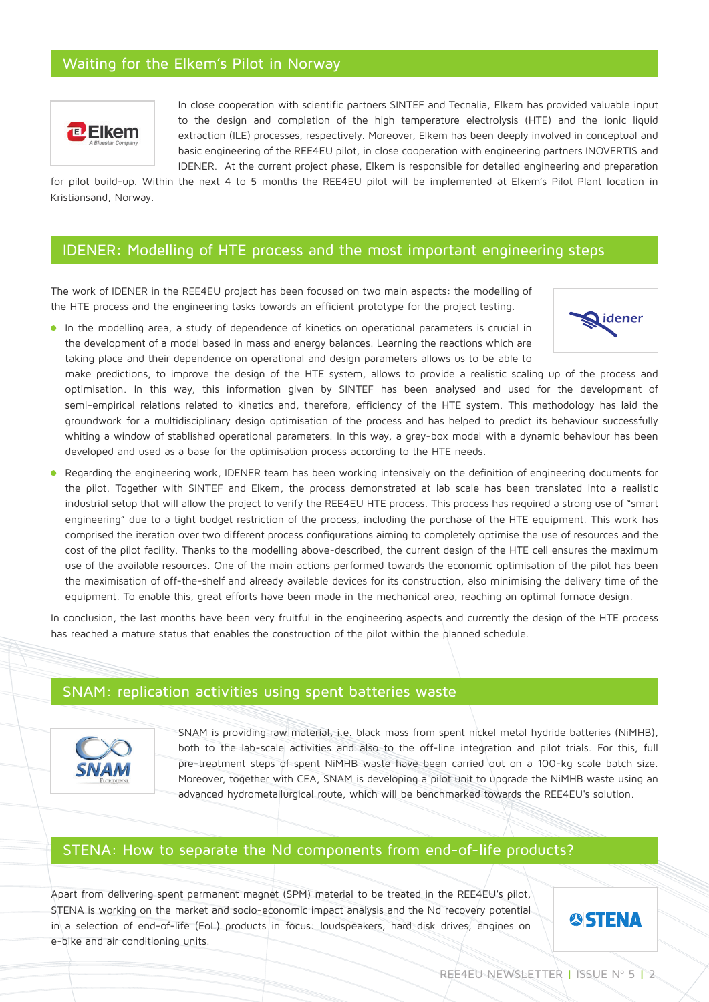## Waiting for the Elkem's Pilot in Norway



In close cooperation with scientific partners SINTEF and Tecnalia, Elkem has provided valuable input to the design and completion of the high temperature electrolysis (HTE) and the ionic liquid extraction (ILE) processes, respectively. Moreover, Elkem has been deeply involved in conceptual and basic engineering of the REE4EU pilot, in close cooperation with engineering partners INOVERTIS and IDENER. At the current project phase, Elkem is responsible for detailed engineering and preparation

for pilot build-up. Within the next 4 to 5 months the REE4EU pilot will be implemented at Elkem's Pilot Plant location in Kristiansand, Norway.

#### IDENER: Modelling of HTE process and the most important engineering steps

The work of IDENER in the REE4EU project has been focused on two main aspects: the modelling of the HTE process and the engineering tasks towards an efficient prototype for the project testing.



In the modelling area, a study of dependence of kinetics on operational parameters is crucial in the development of a model based in mass and energy balances. Learning the reactions which are taking place and their dependence on operational and design parameters allows us to be able to

make predictions, to improve the design of the HTE system, allows to provide a realistic scaling up of the process and optimisation. In this way, this information given by SINTEF has been analysed and used for the development of semi-empirical relations related to kinetics and, therefore, efficiency of the HTE system. This methodology has laid the groundwork for a multidisciplinary design optimisation of the process and has helped to predict its behaviour successfully whiting a window of stablished operational parameters. In this way, a grey-box model with a dynamic behaviour has been developed and used as a base for the optimisation process according to the HTE needs.

Regarding the engineering work, IDENER team has been working intensively on the definition of engineering documents for the pilot. Together with SINTEF and Elkem, the process demonstrated at lab scale has been translated into a realistic industrial setup that will allow the project to verify the REE4EU HTE process. This process has required a strong use of "smart engineering" due to a tight budget restriction of the process, including the purchase of the HTE equipment. This work has comprised the iteration over two different process configurations aiming to completely optimise the use of resources and the cost of the pilot facility. Thanks to the modelling above-described, the current design of the HTE cell ensures the maximum use of the available resources. One of the main actions performed towards the economic optimisation of the pilot has been the maximisation of off-the-shelf and already available devices for its construction, also minimising the delivery time of the equipment. To enable this, great efforts have been made in the mechanical area, reaching an optimal furnace design.

In conclusion, the last months have been very fruitful in the engineering aspects and currently the design of the HTE process has reached a mature status that enables the construction of the pilot within the planned schedule.

#### SNAM: replication activities using spent batteries waste



SNAM is providing raw material, i.e. black mass from spent nickel metal hydride batteries (NiMHB), both to the lab-scale activities and also to the off-line integration and pilot trials. For this, full pre-treatment steps of spent NiMHB waste have been carried out on a 100-kg scale batch size. Moreover, together with CEA, SNAM is developing a pilot unit to upgrade the NiMHB waste using an advanced hydrometallurgical route, which will be benchmarked towards the REE4EU's solution.

#### STENA: How to separate the Nd components from end-of-life products?

Apart from delivering spent permanent magnet (SPM) material to be treated in the REE4EU's pilot, STENA is working on the market and socio-economic impact analysis and the Nd recovery potential in a selection of end-of-life (EoL) products in focus: loudspeakers, hard disk drives, engines on e-bike and air conditioning units.

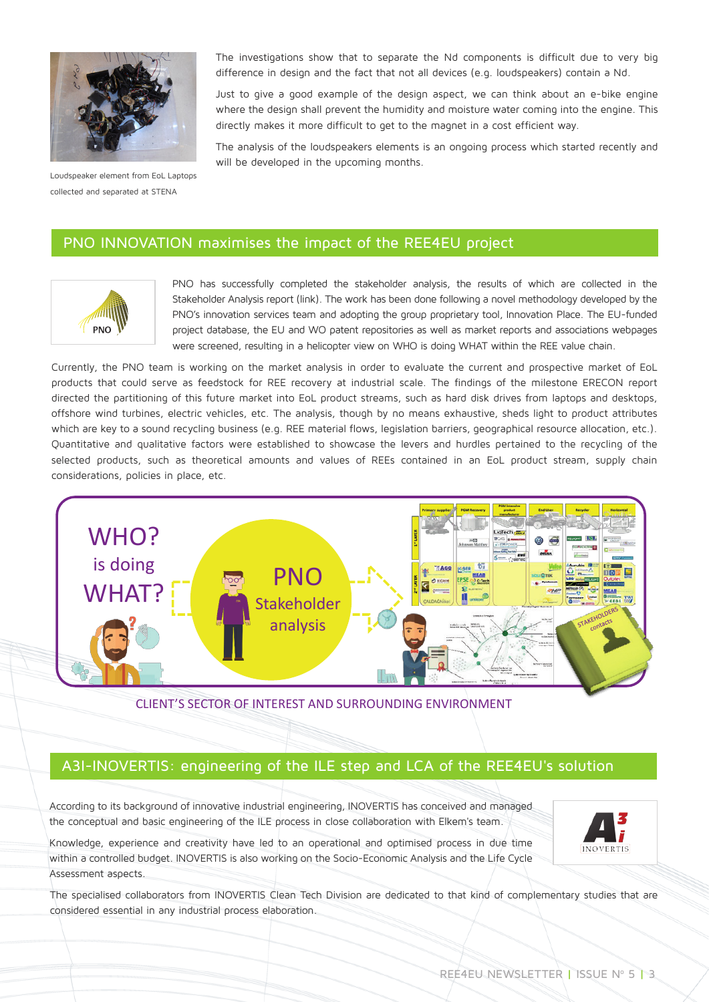

Loudspeaker element from EoL Laptops collected and separated at STENA

The investigations show that to separate the Nd components is difficult due to very big difference in design and the fact that not all devices (e.g. loudspeakers) contain a Nd.

Just to give a good example of the design aspect, we can think about an e-bike engine where the design shall prevent the humidity and moisture water coming into the engine. This directly makes it more difficult to get to the magnet in a cost efficient way.

The analysis of the loudspeakers elements is an ongoing process which started recently and will be developed in the upcoming months.

#### PNO INNOVATION maximises the impact of the REE4EU project



PNO has successfully completed the stakeholder analysis, the results of which are collected in the Stakeholder Analysis report (link). The work has been done following a novel methodology developed by the PNO's innovation services team and adopting the group proprietary tool, Innovation Place. The EU-funded project database, the EU and WO patent repositories as well as market reports and associations webpages were screened, resulting in a helicopter view on WHO is doing WHAT within the REE value chain.

Currently, the PNO team is working on the market analysis in order to evaluate the current and prospective market of EoL products that could serve as feedstock for REE recovery at industrial scale. The findings of the milestone ERECON report directed the partitioning of this future market into EoL product streams, such as hard disk drives from laptops and desktops, offshore wind turbines, electric vehicles, etc. The analysis, though by no means exhaustive, sheds light to product attributes which are key to a sound recycling business (e.g. REE material flows, legislation barriers, geographical resource allocation, etc.). Quantitative and qualitative factors were established to showcase the levers and hurdles pertained to the recycling of the selected products, such as theoretical amounts and values of REEs contained in an EoL product stream, supply chain considerations, policies in place, etc.



CLIENT'S SECTOR OF INTEREST AND SURROUNDING ENVIRONMENT

#### A3I-INOVERTIS: engineering of the ILE step and LCA of the REE4EU's solution

According to its background of innovative industrial engineering, INOVERTIS has conceived and managed the conceptual and basic engineering of the ILE process in close collaboration with Elkem's team.

Knowledge, experience and creativity have led to an operational and optimised process in due time within a controlled budget. INOVERTIS is also working on the Socio-Economic Analysis and the Life Cycle Assessment aspects.



The specialised collaborators from INOVERTIS Clean Tech Division are dedicated to that kind of complementary studies that are considered essential in any industrial process elaboration.